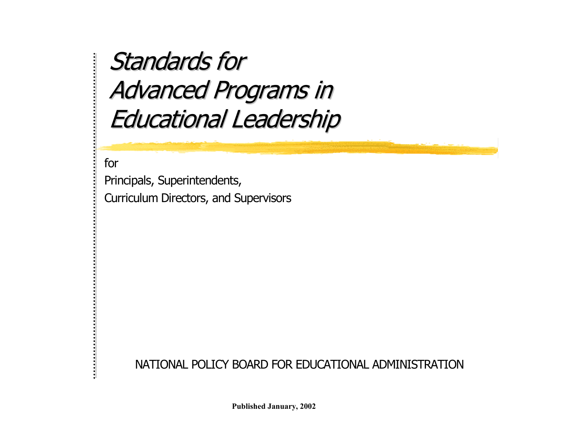Standards for Advanced Programs in **Educational Leadership** 

for

Principals, Superintendents, Curriculum Directors, and Supervisors

NATIONAL POLICY BOARD FOR EDUCATIONAL ADMINISTRATION

**Published January, 2002**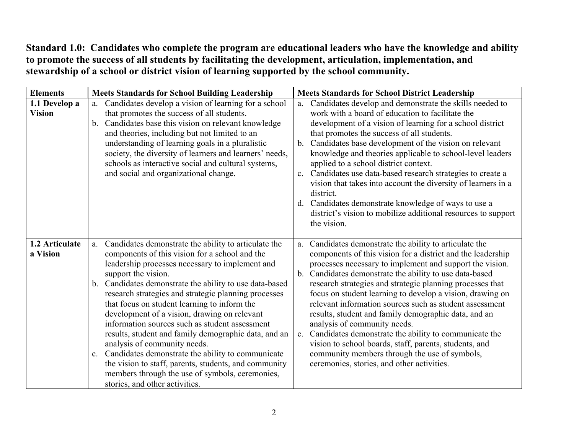**Standard 1.0: Candidates who complete the program are educational leaders who have the knowledge and ability to promote the success of all students by facilitating the development, articulation, implementation, and stewardship of a school or district vision of learning supported by the school community.** 

| <b>Elements</b>                | <b>Meets Standards for School Building Leadership</b>                                                                                                                                                                                                                                                                                                                                                                                                                                                                                                                                                                                                                                                                                                                    | <b>Meets Standards for School District Leadership</b>                                                                                                                                                                                                                                                                                                                                                                                                                                                                                                                                                                                                                                                                                                             |
|--------------------------------|--------------------------------------------------------------------------------------------------------------------------------------------------------------------------------------------------------------------------------------------------------------------------------------------------------------------------------------------------------------------------------------------------------------------------------------------------------------------------------------------------------------------------------------------------------------------------------------------------------------------------------------------------------------------------------------------------------------------------------------------------------------------------|-------------------------------------------------------------------------------------------------------------------------------------------------------------------------------------------------------------------------------------------------------------------------------------------------------------------------------------------------------------------------------------------------------------------------------------------------------------------------------------------------------------------------------------------------------------------------------------------------------------------------------------------------------------------------------------------------------------------------------------------------------------------|
| 1.1 Develop a<br><b>Vision</b> | Candidates develop a vision of learning for a school<br>a.<br>that promotes the success of all students.<br>Candidates base this vision on relevant knowledge<br>b.<br>and theories, including but not limited to an<br>understanding of learning goals in a pluralistic<br>society, the diversity of learners and learners' needs,<br>schools as interactive social and cultural systems,<br>and social and organizational change.                                                                                                                                                                                                                                                                                                                                      | Candidates develop and demonstrate the skills needed to<br>a.<br>work with a board of education to facilitate the<br>development of a vision of learning for a school district<br>that promotes the success of all students.<br>Candidates base development of the vision on relevant<br>$b_{-}$<br>knowledge and theories applicable to school-level leaders<br>applied to a school district context.<br>Candidates use data-based research strategies to create a<br>vision that takes into account the diversity of learners in a<br>district.<br>Candidates demonstrate knowledge of ways to use a<br>d.<br>district's vision to mobilize additional resources to support<br>the vision.                                                                      |
| 1.2 Articulate<br>a Vision     | Candidates demonstrate the ability to articulate the<br>a.<br>components of this vision for a school and the<br>leadership processes necessary to implement and<br>support the vision.<br>Candidates demonstrate the ability to use data-based<br>$\mathbf{b}$ .<br>research strategies and strategic planning processes<br>that focus on student learning to inform the<br>development of a vision, drawing on relevant<br>information sources such as student assessment<br>results, student and family demographic data, and an<br>analysis of community needs.<br>c. Candidates demonstrate the ability to communicate<br>the vision to staff, parents, students, and community<br>members through the use of symbols, ceremonies,<br>stories, and other activities. | Candidates demonstrate the ability to articulate the<br>a.<br>components of this vision for a district and the leadership<br>processes necessary to implement and support the vision.<br>b. Candidates demonstrate the ability to use data-based<br>research strategies and strategic planning processes that<br>focus on student learning to develop a vision, drawing on<br>relevant information sources such as student assessment<br>results, student and family demographic data, and an<br>analysis of community needs.<br>Candidates demonstrate the ability to communicate the<br>$\mathbf{c}$ .<br>vision to school boards, staff, parents, students, and<br>community members through the use of symbols,<br>ceremonies, stories, and other activities. |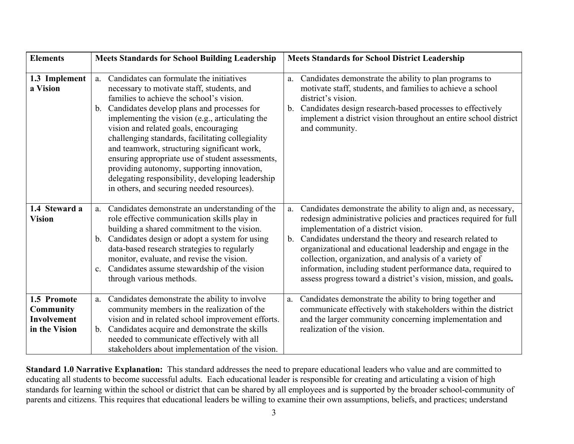| <b>Elements</b>                                                 | <b>Meets Standards for School Building Leadership</b>                                                                                                                                                                                                                                                                                                                                                                                                                                                                                                                                           | <b>Meets Standards for School District Leadership</b>                                                                                                                                                                                                                                                                                                                                                                                                                                                       |
|-----------------------------------------------------------------|-------------------------------------------------------------------------------------------------------------------------------------------------------------------------------------------------------------------------------------------------------------------------------------------------------------------------------------------------------------------------------------------------------------------------------------------------------------------------------------------------------------------------------------------------------------------------------------------------|-------------------------------------------------------------------------------------------------------------------------------------------------------------------------------------------------------------------------------------------------------------------------------------------------------------------------------------------------------------------------------------------------------------------------------------------------------------------------------------------------------------|
| 1.3 Implement<br>a Vision                                       | Candidates can formulate the initiatives<br>a.<br>necessary to motivate staff, students, and<br>families to achieve the school's vision.<br>Candidates develop plans and processes for<br>b.<br>implementing the vision (e.g., articulating the<br>vision and related goals, encouraging<br>challenging standards, facilitating collegiality<br>and teamwork, structuring significant work,<br>ensuring appropriate use of student assessments,<br>providing autonomy, supporting innovation,<br>delegating responsibility, developing leadership<br>in others, and securing needed resources). | Candidates demonstrate the ability to plan programs to<br>a.<br>motivate staff, students, and families to achieve a school<br>district's vision.<br>b. Candidates design research-based processes to effectively<br>implement a district vision throughout an entire school district<br>and community.                                                                                                                                                                                                      |
| 1.4 Steward a<br><b>Vision</b>                                  | Candidates demonstrate an understanding of the<br>a.<br>role effective communication skills play in<br>building a shared commitment to the vision.<br>Candidates design or adopt a system for using<br>b.<br>data-based research strategies to regularly<br>monitor, evaluate, and revise the vision.<br>Candidates assume stewardship of the vision<br>$c_{\cdot}$<br>through various methods.                                                                                                                                                                                                 | Candidates demonstrate the ability to align and, as necessary,<br>a.<br>redesign administrative policies and practices required for full<br>implementation of a district vision.<br>b. Candidates understand the theory and research related to<br>organizational and educational leadership and engage in the<br>collection, organization, and analysis of a variety of<br>information, including student performance data, required to<br>assess progress toward a district's vision, mission, and goals. |
| 1.5 Promote<br><b>Community</b><br>Involvement<br>in the Vision | Candidates demonstrate the ability to involve<br>a.<br>community members in the realization of the<br>vision and in related school improvement efforts.<br>Candidates acquire and demonstrate the skills<br>b.<br>needed to communicate effectively with all<br>stakeholders about implementation of the vision.                                                                                                                                                                                                                                                                                | Candidates demonstrate the ability to bring together and<br>a.<br>communicate effectively with stakeholders within the district<br>and the larger community concerning implementation and<br>realization of the vision.                                                                                                                                                                                                                                                                                     |

**Standard 1.0 Narrative Explanation:** This standard addresses the need to prepare educational leaders who value and are committed to educating all students to become successful adults. Each educational leader is responsible for creating and articulating a vision of high standards for learning within the school or district that can be shared by all employees and is supported by the broader school-community of parents and citizens. This requires that educational leaders be willing to examine their own assumptions, beliefs, and practices; understand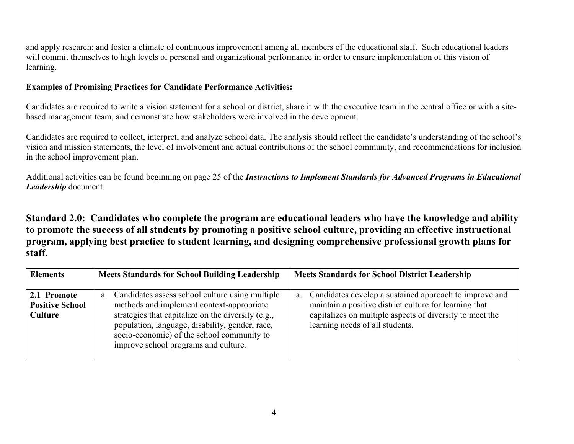and apply research; and foster a climate of continuous improvement among all members of the educational staff. Such educational leaders will commit themselves to high levels of personal and organizational performance in order to ensure implementation of this vision of learning.

### **Examples of Promising Practices for Candidate Performance Activities:**

Candidates are required to write a vision statement for a school or district, share it with the executive team in the central office or with a sitebased management team, and demonstrate how stakeholders were involved in the development.

Candidates are required to collect, interpret, and analyze school data. The analysis should reflect the candidate's understanding of the school's vision and mission statements, the level of involvement and actual contributions of the school community, and recommendations for inclusion in the school improvement plan.

Additional activities can be found beginning on page 25 of the *Instructions to Implement Standards for Advanced Programs in Educational Leadership* document*.* 

**Standard 2.0: Candidates who complete the program are educational leaders who have the knowledge and ability to promote the success of all students by promoting a positive school culture, providing an effective instructional program, applying best practice to student learning, and designing comprehensive professional growth plans for staff.** 

| <b>Elements</b>                                  | <b>Meets Standards for School Building Leadership</b>                                                                                                                                                                                                                                          | <b>Meets Standards for School District Leadership</b>                                                                                                                                                                 |
|--------------------------------------------------|------------------------------------------------------------------------------------------------------------------------------------------------------------------------------------------------------------------------------------------------------------------------------------------------|-----------------------------------------------------------------------------------------------------------------------------------------------------------------------------------------------------------------------|
| 2.1 Promote<br><b>Positive School</b><br>Culture | a. Candidates assess school culture using multiple<br>methods and implement context-appropriate<br>strategies that capitalize on the diversity (e.g.,<br>population, language, disability, gender, race,<br>socio-economic) of the school community to<br>improve school programs and culture. | Candidates develop a sustained approach to improve and<br>a.<br>maintain a positive district culture for learning that<br>capitalizes on multiple aspects of diversity to meet the<br>learning needs of all students. |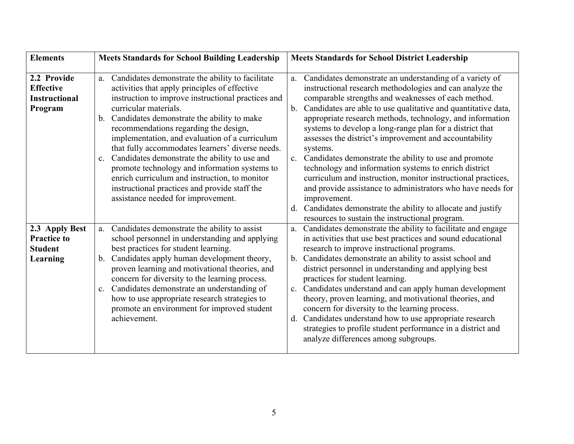| <b>Elements</b>                                                    | <b>Meets Standards for School Building Leadership</b>                                                                                                                                                                                                                                                                                                                                                                                                                                                                                                                                                                            | <b>Meets Standards for School District Leadership</b>                                                                                                                                                                                                                                                                                                                                                                                                                                                                                                                                                                                                                                                                                                                                                                                          |
|--------------------------------------------------------------------|----------------------------------------------------------------------------------------------------------------------------------------------------------------------------------------------------------------------------------------------------------------------------------------------------------------------------------------------------------------------------------------------------------------------------------------------------------------------------------------------------------------------------------------------------------------------------------------------------------------------------------|------------------------------------------------------------------------------------------------------------------------------------------------------------------------------------------------------------------------------------------------------------------------------------------------------------------------------------------------------------------------------------------------------------------------------------------------------------------------------------------------------------------------------------------------------------------------------------------------------------------------------------------------------------------------------------------------------------------------------------------------------------------------------------------------------------------------------------------------|
| 2.2 Provide<br><b>Effective</b><br><b>Instructional</b><br>Program | a. Candidates demonstrate the ability to facilitate<br>activities that apply principles of effective<br>instruction to improve instructional practices and<br>curricular materials.<br>b. Candidates demonstrate the ability to make<br>recommendations regarding the design,<br>implementation, and evaluation of a curriculum<br>that fully accommodates learners' diverse needs.<br>c. Candidates demonstrate the ability to use and<br>promote technology and information systems to<br>enrich curriculum and instruction, to monitor<br>instructional practices and provide staff the<br>assistance needed for improvement. | a. Candidates demonstrate an understanding of a variety of<br>instructional research methodologies and can analyze the<br>comparable strengths and weaknesses of each method.<br>Candidates are able to use qualitative and quantitative data,<br>b.<br>appropriate research methods, technology, and information<br>systems to develop a long-range plan for a district that<br>assesses the district's improvement and accountability<br>systems.<br>c. Candidates demonstrate the ability to use and promote<br>technology and information systems to enrich district<br>curriculum and instruction, monitor instructional practices,<br>and provide assistance to administrators who have needs for<br>improvement.<br>Candidates demonstrate the ability to allocate and justify<br>d.<br>resources to sustain the instructional program. |
| 2.3 Apply Best<br><b>Practice to</b><br><b>Student</b><br>Learning | Candidates demonstrate the ability to assist<br>a.<br>school personnel in understanding and applying<br>best practices for student learning.<br>b. Candidates apply human development theory,<br>proven learning and motivational theories, and<br>concern for diversity to the learning process.<br>c. Candidates demonstrate an understanding of<br>how to use appropriate research strategies to<br>promote an environment for improved student<br>achievement.                                                                                                                                                               | Candidates demonstrate the ability to facilitate and engage<br>a.<br>in activities that use best practices and sound educational<br>research to improve instructional programs.<br>Candidates demonstrate an ability to assist school and<br>$b_{-}$<br>district personnel in understanding and applying best<br>practices for student learning.<br>c. Candidates understand and can apply human development<br>theory, proven learning, and motivational theories, and<br>concern for diversity to the learning process.<br>Candidates understand how to use appropriate research<br>d.<br>strategies to profile student performance in a district and<br>analyze differences among subgroups.                                                                                                                                                |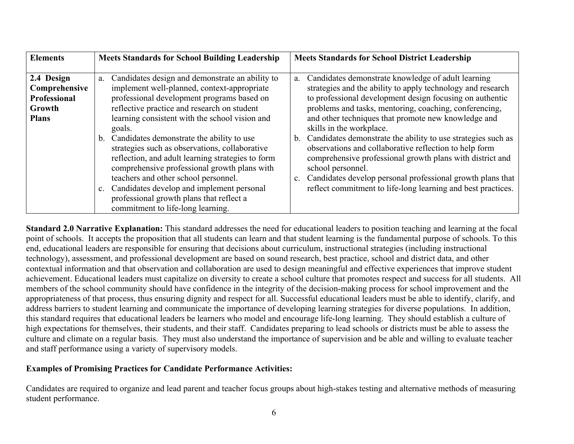| <b>Elements</b>                                                              | <b>Meets Standards for School Building Leadership</b>                                                                                                                                                                                                                                                                                                                                                                                                                                                                                                                                                                                         | <b>Meets Standards for School District Leadership</b>                                                                                                                                                                                                                                                                                                                                                                                                                                                                                                                                                                                                                                                    |
|------------------------------------------------------------------------------|-----------------------------------------------------------------------------------------------------------------------------------------------------------------------------------------------------------------------------------------------------------------------------------------------------------------------------------------------------------------------------------------------------------------------------------------------------------------------------------------------------------------------------------------------------------------------------------------------------------------------------------------------|----------------------------------------------------------------------------------------------------------------------------------------------------------------------------------------------------------------------------------------------------------------------------------------------------------------------------------------------------------------------------------------------------------------------------------------------------------------------------------------------------------------------------------------------------------------------------------------------------------------------------------------------------------------------------------------------------------|
| 2.4 Design<br>Comprehensive<br><b>Professional</b><br>Growth<br><b>Plans</b> | Candidates design and demonstrate an ability to<br>a.<br>implement well-planned, context-appropriate<br>professional development programs based on<br>reflective practice and research on student<br>learning consistent with the school vision and<br>goals.<br>b. Candidates demonstrate the ability to use<br>strategies such as observations, collaborative<br>reflection, and adult learning strategies to form<br>comprehensive professional growth plans with<br>teachers and other school personnel.<br>c. Candidates develop and implement personal<br>professional growth plans that reflect a<br>commitment to life-long learning. | Candidates demonstrate knowledge of adult learning<br>a.<br>strategies and the ability to apply technology and research<br>to professional development design focusing on authentic<br>problems and tasks, mentoring, coaching, conferencing,<br>and other techniques that promote new knowledge and<br>skills in the workplace.<br>Candidates demonstrate the ability to use strategies such as<br>$b_{\cdot}$<br>observations and collaborative reflection to help form<br>comprehensive professional growth plans with district and<br>school personnel.<br>Candidates develop personal professional growth plans that<br>$c_{\cdot}$<br>reflect commitment to life-long learning and best practices. |

**Standard 2.0 Narrative Explanation:** This standard addresses the need for educational leaders to position teaching and learning at the focal point of schools. It accepts the proposition that all students can learn and that student learning is the fundamental purpose of schools. To this end, educational leaders are responsible for ensuring that decisions about curriculum, instructional strategies (including instructional technology), assessment, and professional development are based on sound research, best practice, school and district data, and other contextual information and that observation and collaboration are used to design meaningful and effective experiences that improve student achievement. Educational leaders must capitalize on diversity to create a school culture that promotes respect and success for all students. All members of the school community should have confidence in the integrity of the decision-making process for school improvement and the appropriateness of that process, thus ensuring dignity and respect for all. Successful educational leaders must be able to identify, clarify, and address barriers to student learning and communicate the importance of developing learning strategies for diverse populations. In addition, this standard requires that educational leaders be learners who model and encourage life-long learning. They should establish a culture of high expectations for themselves, their students, and their staff. Candidates preparing to lead schools or districts must be able to assess the culture and climate on a regular basis. They must also understand the importance of supervision and be able and willing to evaluate teacher and staff performance using a variety of supervisory models.

#### **Examples of Promising Practices for Candidate Performance Activities:**

Candidates are required to organize and lead parent and teacher focus groups about high-stakes testing and alternative methods of measuring student performance.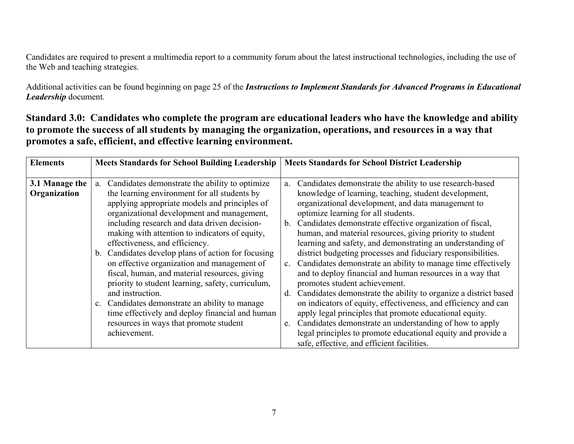Candidates are required to present a multimedia report to a community forum about the latest instructional technologies, including the use of the Web and teaching strategies.

Additional activities can be found beginning on page 25 of the *Instructions to Implement Standards for Advanced Programs in Educational Leadership* document*.* 

**Standard 3.0: Candidates who complete the program are educational leaders who have the knowledge and ability to promote the success of all students by managing the organization, operations, and resources in a way that promotes a safe, efficient, and effective learning environment.** 

| <b>Elements</b>                | <b>Meets Standards for School Building Leadership</b>                                                                                                                                                                                                                                                                                                                                                                                                                                                                                                                                                                                                                                                                                 | <b>Meets Standards for School District Leadership</b>                                                                                                                                                                                                                                                                                                                                                                                                                                                                                                                                                                                                                                                                                                                                                                                                                                                                                                                         |
|--------------------------------|---------------------------------------------------------------------------------------------------------------------------------------------------------------------------------------------------------------------------------------------------------------------------------------------------------------------------------------------------------------------------------------------------------------------------------------------------------------------------------------------------------------------------------------------------------------------------------------------------------------------------------------------------------------------------------------------------------------------------------------|-------------------------------------------------------------------------------------------------------------------------------------------------------------------------------------------------------------------------------------------------------------------------------------------------------------------------------------------------------------------------------------------------------------------------------------------------------------------------------------------------------------------------------------------------------------------------------------------------------------------------------------------------------------------------------------------------------------------------------------------------------------------------------------------------------------------------------------------------------------------------------------------------------------------------------------------------------------------------------|
| 3.1 Manage the<br>Organization | Candidates demonstrate the ability to optimize<br>a.<br>the learning environment for all students by<br>applying appropriate models and principles of<br>organizational development and management,<br>including research and data driven decision-<br>making with attention to indicators of equity,<br>effectiveness, and efficiency.<br>b. Candidates develop plans of action for focusing<br>on effective organization and management of<br>fiscal, human, and material resources, giving<br>priority to student learning, safety, curriculum,<br>and instruction.<br>c. Candidates demonstrate an ability to manage<br>time effectively and deploy financial and human<br>resources in ways that promote student<br>achievement. | Candidates demonstrate the ability to use research-based<br>knowledge of learning, teaching, student development,<br>organizational development, and data management to<br>optimize learning for all students.<br>b. Candidates demonstrate effective organization of fiscal,<br>human, and material resources, giving priority to student<br>learning and safety, and demonstrating an understanding of<br>district budgeting processes and fiduciary responsibilities.<br>Candidates demonstrate an ability to manage time effectively<br>and to deploy financial and human resources in a way that<br>promotes student achievement.<br>Candidates demonstrate the ability to organize a district based<br>d.<br>on indicators of equity, effectiveness, and efficiency and can<br>apply legal principles that promote educational equity.<br>Candidates demonstrate an understanding of how to apply<br>e.<br>legal principles to promote educational equity and provide a |
|                                |                                                                                                                                                                                                                                                                                                                                                                                                                                                                                                                                                                                                                                                                                                                                       | safe, effective, and efficient facilities.                                                                                                                                                                                                                                                                                                                                                                                                                                                                                                                                                                                                                                                                                                                                                                                                                                                                                                                                    |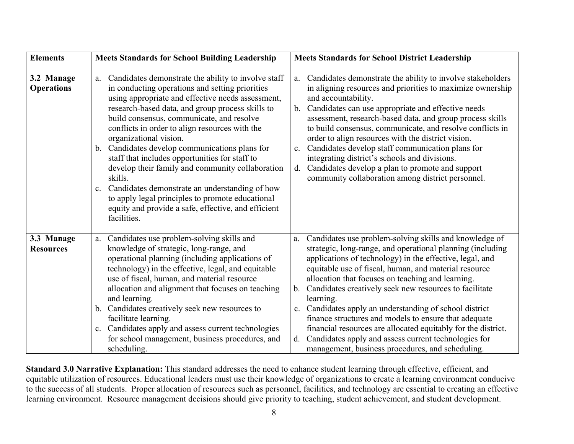| <b>Elements</b>                 | <b>Meets Standards for School Building Leadership</b>                                                                                                                                                                                                                                                                                                                                                                                                                                                                                                                                                                                                                                                                | <b>Meets Standards for School District Leadership</b>                                                                                                                                                                                                                                                                                                                                                                                                                                                                                                                                                                                                                                    |
|---------------------------------|----------------------------------------------------------------------------------------------------------------------------------------------------------------------------------------------------------------------------------------------------------------------------------------------------------------------------------------------------------------------------------------------------------------------------------------------------------------------------------------------------------------------------------------------------------------------------------------------------------------------------------------------------------------------------------------------------------------------|------------------------------------------------------------------------------------------------------------------------------------------------------------------------------------------------------------------------------------------------------------------------------------------------------------------------------------------------------------------------------------------------------------------------------------------------------------------------------------------------------------------------------------------------------------------------------------------------------------------------------------------------------------------------------------------|
| 3.2 Manage<br><b>Operations</b> | Candidates demonstrate the ability to involve staff<br>a.<br>in conducting operations and setting priorities<br>using appropriate and effective needs assessment,<br>research-based data, and group process skills to<br>build consensus, communicate, and resolve<br>conflicts in order to align resources with the<br>organizational vision.<br>Candidates develop communications plans for<br>$b_{-}$<br>staff that includes opportunities for staff to<br>develop their family and community collaboration<br>skills.<br>Candidates demonstrate an understanding of how<br>$c_{\cdot}$<br>to apply legal principles to promote educational<br>equity and provide a safe, effective, and efficient<br>facilities. | Candidates demonstrate the ability to involve stakeholders<br>a.<br>in aligning resources and priorities to maximize ownership<br>and accountability.<br>Candidates can use appropriate and effective needs<br>b.<br>assessment, research-based data, and group process skills<br>to build consensus, communicate, and resolve conflicts in<br>order to align resources with the district vision.<br>Candidates develop staff communication plans for<br>$c_{-}$<br>integrating district's schools and divisions.<br>Candidates develop a plan to promote and support<br>d.<br>community collaboration among district personnel.                                                         |
| 3.3 Manage<br><b>Resources</b>  | Candidates use problem-solving skills and<br>a.<br>knowledge of strategic, long-range, and<br>operational planning (including applications of<br>technology) in the effective, legal, and equitable<br>use of fiscal, human, and material resource<br>allocation and alignment that focuses on teaching<br>and learning.<br>b. Candidates creatively seek new resources to<br>facilitate learning.<br>Candidates apply and assess current technologies<br>$c_{\cdot}$<br>for school management, business procedures, and<br>scheduling.                                                                                                                                                                              | Candidates use problem-solving skills and knowledge of<br>a.<br>strategic, long-range, and operational planning (including<br>applications of technology) in the effective, legal, and<br>equitable use of fiscal, human, and material resource<br>allocation that focuses on teaching and learning.<br>Candidates creatively seek new resources to facilitate<br>b.<br>learning.<br>c. Candidates apply an understanding of school district<br>finance structures and models to ensure that adequate<br>financial resources are allocated equitably for the district.<br>Candidates apply and assess current technologies for<br>d.<br>management, business procedures, and scheduling. |

**Standard 3.0 Narrative Explanation:** This standard addresses the need to enhance student learning through effective, efficient, and equitable utilization of resources. Educational leaders must use their knowledge of organizations to create a learning environment conducive to the success of all students. Proper allocation of resources such as personnel, facilities, and technology are essential to creating an effective learning environment. Resource management decisions should give priority to teaching, student achievement, and student development.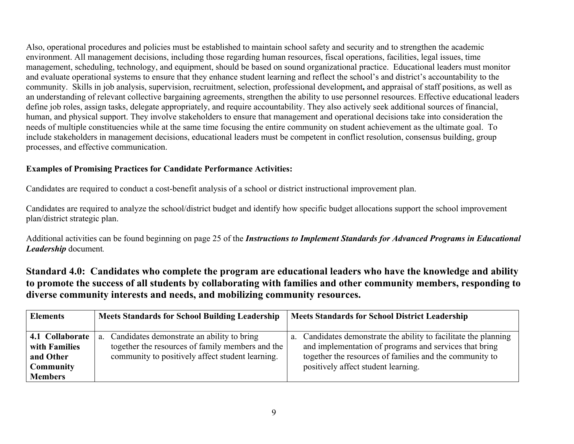Also, operational procedures and policies must be established to maintain school safety and security and to strengthen the academic environment. All management decisions, including those regarding human resources, fiscal operations, facilities, legal issues, time management, scheduling, technology, and equipment, should be based on sound organizational practice. Educational leaders must monitor and evaluate operational systems to ensure that they enhance student learning and reflect the school's and district's accountability to the community. Skills in job analysis, supervision, recruitment, selection, professional development**,** and appraisal of staff positions, as well as an understanding of relevant collective bargaining agreements, strengthen the ability to use personnel resources. Effective educational leaders define job roles, assign tasks, delegate appropriately, and require accountability. They also actively seek additional sources of financial, human, and physical support. They involve stakeholders to ensure that management and operational decisions take into consideration the needs of multiple constituencies while at the same time focusing the entire community on student achievement as the ultimate goal. To include stakeholders in management decisions, educational leaders must be competent in conflict resolution, consensus building, group processes, and effective communication.

# **Examples of Promising Practices for Candidate Performance Activities:**

Candidates are required to conduct a cost-benefit analysis of a school or district instructional improvement plan.

Candidates are required to analyze the school/district budget and identify how specific budget allocations support the school improvement plan/district strategic plan.

Additional activities can be found beginning on page 25 of the *Instructions to Implement Standards for Advanced Programs in Educational Leadership* document*.* 

**Standard 4.0: Candidates who complete the program are educational leaders who have the knowledge and ability to promote the success of all students by collaborating with families and other community members, responding to diverse community interests and needs, and mobilizing community resources.** 

| <b>Elements</b>                                                                     | <b>Meets Standards for School Building Leadership</b>                                                                                                    | <b>Meets Standards for School District Leadership</b>                                                                                                                                                                        |
|-------------------------------------------------------------------------------------|----------------------------------------------------------------------------------------------------------------------------------------------------------|------------------------------------------------------------------------------------------------------------------------------------------------------------------------------------------------------------------------------|
| 4.1 Collaborate<br>with Families<br>and Other<br><b>Community</b><br><b>Members</b> | Candidates demonstrate an ability to bring<br>a.<br>together the resources of family members and the<br>community to positively affect student learning. | a. Candidates demonstrate the ability to facilitate the planning<br>and implementation of programs and services that bring<br>together the resources of families and the community to<br>positively affect student learning. |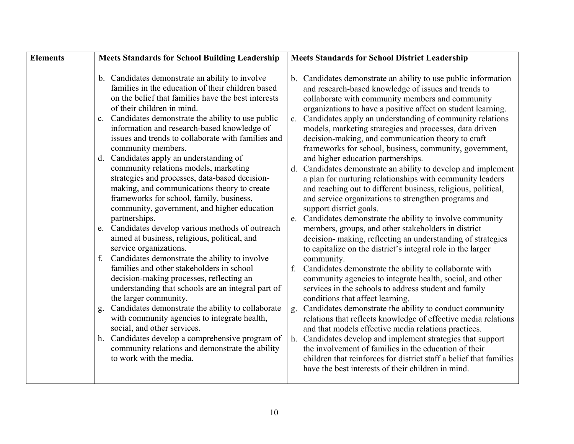| <b>Elements</b> | <b>Meets Standards for School Building Leadership</b>                                                                                                                                                                                                                                                                                                                                                                                                                                                                                                                                                                                                                                                                                                                                                                                                                                                                                                                                                                                                                                                                                                                                                                                                                                                                                 | <b>Meets Standards for School District Leadership</b>                                                                                                                                                                                                                                                                                                                                                                                                                                                                                                                                                                                                                                                                                                                                                                                                                                                                                                                                                                                                                                                                                                                                                                                                                                                                                                                                                                                                                                                                                                                                                                                                                                                                                                         |
|-----------------|---------------------------------------------------------------------------------------------------------------------------------------------------------------------------------------------------------------------------------------------------------------------------------------------------------------------------------------------------------------------------------------------------------------------------------------------------------------------------------------------------------------------------------------------------------------------------------------------------------------------------------------------------------------------------------------------------------------------------------------------------------------------------------------------------------------------------------------------------------------------------------------------------------------------------------------------------------------------------------------------------------------------------------------------------------------------------------------------------------------------------------------------------------------------------------------------------------------------------------------------------------------------------------------------------------------------------------------|---------------------------------------------------------------------------------------------------------------------------------------------------------------------------------------------------------------------------------------------------------------------------------------------------------------------------------------------------------------------------------------------------------------------------------------------------------------------------------------------------------------------------------------------------------------------------------------------------------------------------------------------------------------------------------------------------------------------------------------------------------------------------------------------------------------------------------------------------------------------------------------------------------------------------------------------------------------------------------------------------------------------------------------------------------------------------------------------------------------------------------------------------------------------------------------------------------------------------------------------------------------------------------------------------------------------------------------------------------------------------------------------------------------------------------------------------------------------------------------------------------------------------------------------------------------------------------------------------------------------------------------------------------------------------------------------------------------------------------------------------------------|
|                 | b. Candidates demonstrate an ability to involve<br>families in the education of their children based<br>on the belief that families have the best interests<br>of their children in mind.<br>Candidates demonstrate the ability to use public<br>$\mathbf{c}$ .<br>information and research-based knowledge of<br>issues and trends to collaborate with families and<br>community members.<br>d. Candidates apply an understanding of<br>community relations models, marketing<br>strategies and processes, data-based decision-<br>making, and communications theory to create<br>frameworks for school, family, business,<br>community, government, and higher education<br>partnerships.<br>Candidates develop various methods of outreach<br>e.<br>aimed at business, religious, political, and<br>service organizations.<br>Candidates demonstrate the ability to involve<br>families and other stakeholders in school<br>decision-making processes, reflecting an<br>understanding that schools are an integral part of<br>the larger community.<br>Candidates demonstrate the ability to collaborate<br>g.<br>with community agencies to integrate health,<br>social, and other services.<br>Candidates develop a comprehensive program of<br>h.<br>community relations and demonstrate the ability<br>to work with the media. | b. Candidates demonstrate an ability to use public information<br>and research-based knowledge of issues and trends to<br>collaborate with community members and community<br>organizations to have a positive affect on student learning.<br>c. Candidates apply an understanding of community relations<br>models, marketing strategies and processes, data driven<br>decision-making, and communication theory to craft<br>frameworks for school, business, community, government,<br>and higher education partnerships.<br>d. Candidates demonstrate an ability to develop and implement<br>a plan for nurturing relationships with community leaders<br>and reaching out to different business, religious, political,<br>and service organizations to strengthen programs and<br>support district goals.<br>Candidates demonstrate the ability to involve community<br>e.<br>members, groups, and other stakeholders in district<br>decision- making, reflecting an understanding of strategies<br>to capitalize on the district's integral role in the larger<br>community.<br>Candidates demonstrate the ability to collaborate with<br>f.<br>community agencies to integrate health, social, and other<br>services in the schools to address student and family<br>conditions that affect learning.<br>Candidates demonstrate the ability to conduct community<br>g.<br>relations that reflects knowledge of effective media relations<br>and that models effective media relations practices.<br>Candidates develop and implement strategies that support<br>h.<br>the involvement of families in the education of their<br>children that reinforces for district staff a belief that families<br>have the best interests of their children in mind. |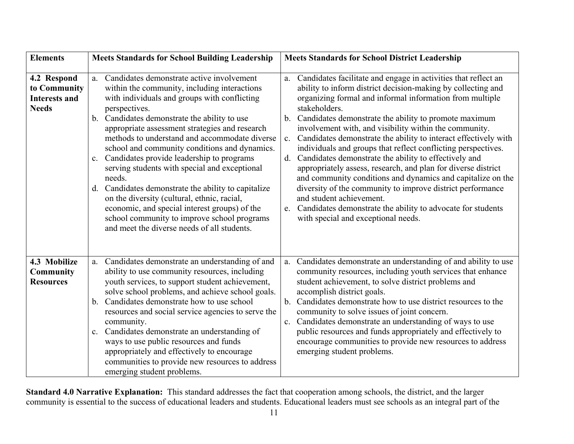| <b>Elements</b>                                                     | <b>Meets Standards for School Building Leadership</b>                                                                                                                                                                                                                                                                                                                                                                                                                                                                                                                                                                                                                                                                                               | <b>Meets Standards for School District Leadership</b>                                                                                                                                                                                                                                                                                                                                                                                                                                                                                                                                                                                                                                                                                                                                                                                                                                           |
|---------------------------------------------------------------------|-----------------------------------------------------------------------------------------------------------------------------------------------------------------------------------------------------------------------------------------------------------------------------------------------------------------------------------------------------------------------------------------------------------------------------------------------------------------------------------------------------------------------------------------------------------------------------------------------------------------------------------------------------------------------------------------------------------------------------------------------------|-------------------------------------------------------------------------------------------------------------------------------------------------------------------------------------------------------------------------------------------------------------------------------------------------------------------------------------------------------------------------------------------------------------------------------------------------------------------------------------------------------------------------------------------------------------------------------------------------------------------------------------------------------------------------------------------------------------------------------------------------------------------------------------------------------------------------------------------------------------------------------------------------|
| 4.2 Respond<br>to Community<br><b>Interests and</b><br><b>Needs</b> | Candidates demonstrate active involvement<br>a.<br>within the community, including interactions<br>with individuals and groups with conflicting<br>perspectives.<br>b. Candidates demonstrate the ability to use<br>appropriate assessment strategies and research<br>methods to understand and accommodate diverse<br>school and community conditions and dynamics.<br>Candidates provide leadership to programs<br>$\mathbf{c}$ .<br>serving students with special and exceptional<br>needs.<br>d. Candidates demonstrate the ability to capitalize<br>on the diversity (cultural, ethnic, racial,<br>economic, and special interest groups) of the<br>school community to improve school programs<br>and meet the diverse needs of all students. | Candidates facilitate and engage in activities that reflect an<br>a.<br>ability to inform district decision-making by collecting and<br>organizing formal and informal information from multiple<br>stakeholders.<br>b. Candidates demonstrate the ability to promote maximum<br>involvement with, and visibility within the community.<br>Candidates demonstrate the ability to interact effectively with<br>$\mathbf{c}$ .<br>individuals and groups that reflect conflicting perspectives.<br>Candidates demonstrate the ability to effectively and<br>d.<br>appropriately assess, research, and plan for diverse district<br>and community conditions and dynamics and capitalize on the<br>diversity of the community to improve district performance<br>and student achievement.<br>e. Candidates demonstrate the ability to advocate for students<br>with special and exceptional needs. |
| 4.3 Mobilize<br>Community<br><b>Resources</b>                       | Candidates demonstrate an understanding of and<br>a.<br>ability to use community resources, including<br>youth services, to support student achievement,<br>solve school problems, and achieve school goals.<br>Candidates demonstrate how to use school<br>b.<br>resources and social service agencies to serve the<br>community.<br>Candidates demonstrate an understanding of<br>$\mathbf{c}$ .<br>ways to use public resources and funds<br>appropriately and effectively to encourage<br>communities to provide new resources to address<br>emerging student problems.                                                                                                                                                                         | Candidates demonstrate an understanding of and ability to use<br>$a$ .<br>community resources, including youth services that enhance<br>student achievement, to solve district problems and<br>accomplish district goals.<br>Candidates demonstrate how to use district resources to the<br>$b_{\cdot}$<br>community to solve issues of joint concern.<br>Candidates demonstrate an understanding of ways to use<br>$c_{\cdot}$<br>public resources and funds appropriately and effectively to<br>encourage communities to provide new resources to address<br>emerging student problems.                                                                                                                                                                                                                                                                                                       |

**Standard 4.0 Narrative Explanation:** This standard addresses the fact that cooperation among schools, the district, and the larger community is essential to the success of educational leaders and students. Educational leaders must see schools as an integral part of the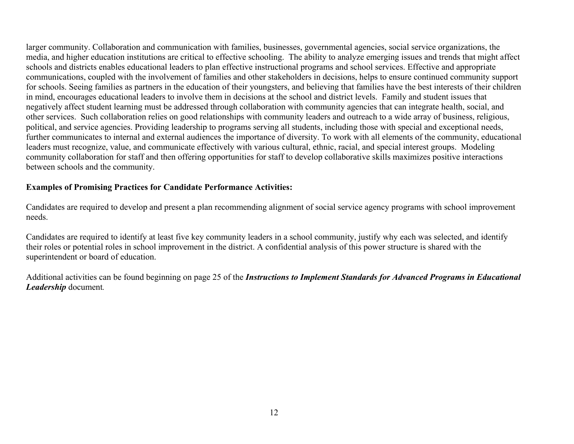larger community. Collaboration and communication with families, businesses, governmental agencies, social service organizations, the media, and higher education institutions are critical to effective schooling. The ability to analyze emerging issues and trends that might affect schools and districts enables educational leaders to plan effective instructional programs and school services. Effective and appropriate communications, coupled with the involvement of families and other stakeholders in decisions, helps to ensure continued community support for schools. Seeing families as partners in the education of their youngsters, and believing that families have the best interests of their children in mind, encourages educational leaders to involve them in decisions at the school and district levels. Family and student issues that negatively affect student learning must be addressed through collaboration with community agencies that can integrate health, social, and other services. Such collaboration relies on good relationships with community leaders and outreach to a wide array of business, religious, political, and service agencies. Providing leadership to programs serving all students, including those with special and exceptional needs, further communicates to internal and external audiences the importance of diversity. To work with all elements of the community, educational leaders must recognize, value, and communicate effectively with various cultural, ethnic, racial, and special interest groups. Modeling community collaboration for staff and then offering opportunities for staff to develop collaborative skills maximizes positive interactions between schools and the community.

#### **Examples of Promising Practices for Candidate Performance Activities:**

Candidates are required to develop and present a plan recommending alignment of social service agency programs with school improvement needs.

Candidates are required to identify at least five key community leaders in a school community, justify why each was selected, and identify their roles or potential roles in school improvement in the district. A confidential analysis of this power structure is shared with the superintendent or board of education.

Additional activities can be found beginning on page 25 of the *Instructions to Implement Standards for Advanced Programs in Educational Leadership* document*.*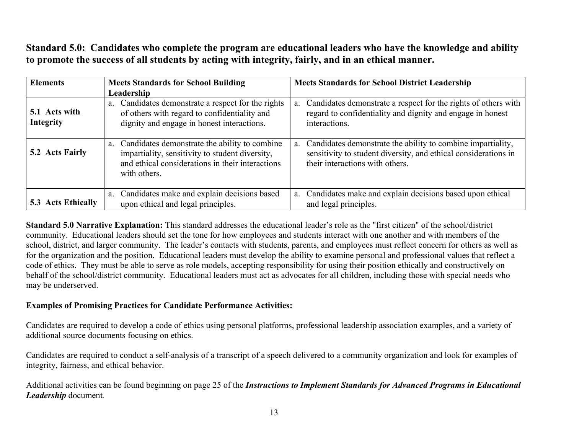**Standard 5.0: Candidates who complete the program are educational leaders who have the knowledge and ability to promote the success of all students by acting with integrity, fairly, and in an ethical manner.**

| <b>Elements</b>                   | <b>Meets Standards for School Building</b><br>Leadership                                                                                                                | <b>Meets Standards for School District Leadership</b>                                                                                                                |
|-----------------------------------|-------------------------------------------------------------------------------------------------------------------------------------------------------------------------|----------------------------------------------------------------------------------------------------------------------------------------------------------------------|
| 5.1 Acts with<br><b>Integrity</b> | a. Candidates demonstrate a respect for the rights<br>of others with regard to confidentiality and<br>dignity and engage in honest interactions.                        | Candidates demonstrate a respect for the rights of others with<br>a.<br>regard to confidentiality and dignity and engage in honest<br>interactions.                  |
| 5.2 Acts Fairly                   | a. Candidates demonstrate the ability to combine<br>impartiality, sensitivity to student diversity,<br>and ethical considerations in their interactions<br>with others. | a. Candidates demonstrate the ability to combine impartiality,<br>sensitivity to student diversity, and ethical considerations in<br>their interactions with others. |
| <b>5.3 Acts Ethically</b>         | a. Candidates make and explain decisions based<br>upon ethical and legal principles.                                                                                    | a. Candidates make and explain decisions based upon ethical<br>and legal principles.                                                                                 |

**Standard 5.0 Narrative Explanation:** This standard addresses the educational leader's role as the "first citizen" of the school/district community. Educational leaders should set the tone for how employees and students interact with one another and with members of the school, district, and larger community. The leader's contacts with students, parents, and employees must reflect concern for others as well as for the organization and the position. Educational leaders must develop the ability to examine personal and professional values that reflect a code of ethics. They must be able to serve as role models, accepting responsibility for using their position ethically and constructively on behalf of the school/district community. Educational leaders must act as advocates for all children, including those with special needs who may be underserved.

# **Examples of Promising Practices for Candidate Performance Activities:**

Candidates are required to develop a code of ethics using personal platforms, professional leadership association examples, and a variety of additional source documents focusing on ethics.

Candidates are required to conduct a self-analysis of a transcript of a speech delivered to a community organization and look for examples of integrity, fairness, and ethical behavior.

Additional activities can be found beginning on page 25 of the *Instructions to Implement Standards for Advanced Programs in Educational Leadership* document*.*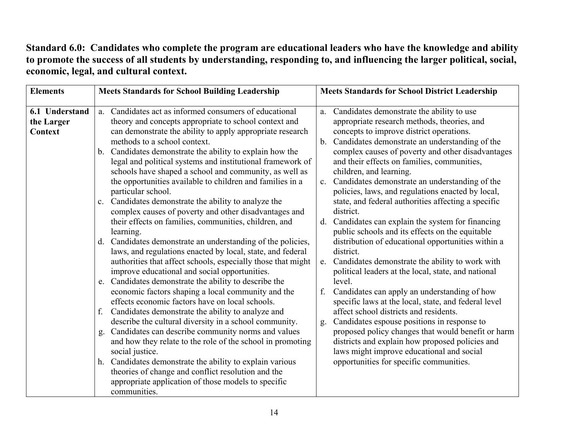# **Standard 6.0: Candidates who complete the program are educational leaders who have the knowledge and ability to promote the success of all students by understanding, responding to, and influencing the larger political, social, economic, legal, and cultural context.**

| <b>Elements</b>                         | <b>Meets Standards for School Building Leadership</b>                                                                                                                                                                                                                                                                                                                                                                                                                                                                                                                                                                                                                                                                                                                                                                                                                                                                                                                                                                                                                                                                                                                                                                                                                                                                                                                                                                                                                                                                                                                      | <b>Meets Standards for School District Leadership</b>                                                                                                                                                                                                                                                                                                                                                                                                                                                                                                                                                                                                                                                                                                                                                                                                                                                                                                                                                                                                                                                                                                                                                                                                       |
|-----------------------------------------|----------------------------------------------------------------------------------------------------------------------------------------------------------------------------------------------------------------------------------------------------------------------------------------------------------------------------------------------------------------------------------------------------------------------------------------------------------------------------------------------------------------------------------------------------------------------------------------------------------------------------------------------------------------------------------------------------------------------------------------------------------------------------------------------------------------------------------------------------------------------------------------------------------------------------------------------------------------------------------------------------------------------------------------------------------------------------------------------------------------------------------------------------------------------------------------------------------------------------------------------------------------------------------------------------------------------------------------------------------------------------------------------------------------------------------------------------------------------------------------------------------------------------------------------------------------------------|-------------------------------------------------------------------------------------------------------------------------------------------------------------------------------------------------------------------------------------------------------------------------------------------------------------------------------------------------------------------------------------------------------------------------------------------------------------------------------------------------------------------------------------------------------------------------------------------------------------------------------------------------------------------------------------------------------------------------------------------------------------------------------------------------------------------------------------------------------------------------------------------------------------------------------------------------------------------------------------------------------------------------------------------------------------------------------------------------------------------------------------------------------------------------------------------------------------------------------------------------------------|
| 6.1 Understand<br>the Larger<br>Context | a. Candidates act as informed consumers of educational<br>theory and concepts appropriate to school context and<br>can demonstrate the ability to apply appropriate research<br>methods to a school context.<br>b. Candidates demonstrate the ability to explain how the<br>legal and political systems and institutional framework of<br>schools have shaped a school and community, as well as<br>the opportunities available to children and families in a<br>particular school.<br>Candidates demonstrate the ability to analyze the<br>$\mathbf{c}$ .<br>complex causes of poverty and other disadvantages and<br>their effects on families, communities, children, and<br>learning.<br>d. Candidates demonstrate an understanding of the policies,<br>laws, and regulations enacted by local, state, and federal<br>authorities that affect schools, especially those that might<br>improve educational and social opportunities.<br>Candidates demonstrate the ability to describe the<br>e.<br>economic factors shaping a local community and the<br>effects economic factors have on local schools.<br>Candidates demonstrate the ability to analyze and<br>f.<br>describe the cultural diversity in a school community.<br>Candidates can describe community norms and values<br>$g$ .<br>and how they relate to the role of the school in promoting<br>social justice.<br>h. Candidates demonstrate the ability to explain various<br>theories of change and conflict resolution and the<br>appropriate application of those models to specific<br>communities. | Candidates demonstrate the ability to use<br>a.<br>appropriate research methods, theories, and<br>concepts to improve district operations.<br>Candidates demonstrate an understanding of the<br>b.<br>complex causes of poverty and other disadvantages<br>and their effects on families, communities,<br>children, and learning.<br>Candidates demonstrate an understanding of the<br>$c_{\cdot}$<br>policies, laws, and regulations enacted by local,<br>state, and federal authorities affecting a specific<br>district.<br>Candidates can explain the system for financing<br>d.<br>public schools and its effects on the equitable<br>distribution of educational opportunities within a<br>district.<br>Candidates demonstrate the ability to work with<br>$e_{\cdot}$<br>political leaders at the local, state, and national<br>level.<br>Candidates can apply an understanding of how<br>f.<br>specific laws at the local, state, and federal level<br>affect school districts and residents.<br>Candidates espouse positions in response to<br>g.<br>proposed policy changes that would benefit or harm<br>districts and explain how proposed policies and<br>laws might improve educational and social<br>opportunities for specific communities. |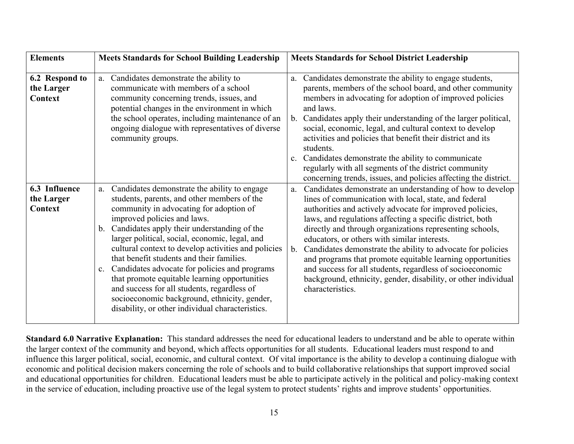| <b>Elements</b>                                | <b>Meets Standards for School Building Leadership</b>                                                                                                                                                                                                                                                                                                                                                                                                                                                                                                                                                                                                      | <b>Meets Standards for School District Leadership</b>                                                                                                                                                                                                                                                                                                                                                                                                                                                                                                                                                                                               |
|------------------------------------------------|------------------------------------------------------------------------------------------------------------------------------------------------------------------------------------------------------------------------------------------------------------------------------------------------------------------------------------------------------------------------------------------------------------------------------------------------------------------------------------------------------------------------------------------------------------------------------------------------------------------------------------------------------------|-----------------------------------------------------------------------------------------------------------------------------------------------------------------------------------------------------------------------------------------------------------------------------------------------------------------------------------------------------------------------------------------------------------------------------------------------------------------------------------------------------------------------------------------------------------------------------------------------------------------------------------------------------|
| 6.2 Respond to<br>the Larger<br><b>Context</b> | Candidates demonstrate the ability to<br>a.<br>communicate with members of a school<br>community concerning trends, issues, and<br>potential changes in the environment in which<br>the school operates, including maintenance of an<br>ongoing dialogue with representatives of diverse<br>community groups.                                                                                                                                                                                                                                                                                                                                              | a. Candidates demonstrate the ability to engage students,<br>parents, members of the school board, and other community<br>members in advocating for adoption of improved policies<br>and laws.<br>Candidates apply their understanding of the larger political,<br>$b_{\cdot}$<br>social, economic, legal, and cultural context to develop<br>activities and policies that benefit their district and its<br>students.<br>Candidates demonstrate the ability to communicate<br>regularly with all segments of the district community<br>concerning trends, issues, and policies affecting the district.                                             |
| 6.3 Influence<br>the Larger<br><b>Context</b>  | Candidates demonstrate the ability to engage<br>a.<br>students, parents, and other members of the<br>community in advocating for adoption of<br>improved policies and laws.<br>b. Candidates apply their understanding of the<br>larger political, social, economic, legal, and<br>cultural context to develop activities and policies<br>that benefit students and their families.<br>Candidates advocate for policies and programs<br>$\mathbf{c}$ .<br>that promote equitable learning opportunities<br>and success for all students, regardless of<br>socioeconomic background, ethnicity, gender,<br>disability, or other individual characteristics. | Candidates demonstrate an understanding of how to develop<br>a.<br>lines of communication with local, state, and federal<br>authorities and actively advocate for improved policies,<br>laws, and regulations affecting a specific district, both<br>directly and through organizations representing schools,<br>educators, or others with similar interests.<br>Candidates demonstrate the ability to advocate for policies<br>b.<br>and programs that promote equitable learning opportunities<br>and success for all students, regardless of socioeconomic<br>background, ethnicity, gender, disability, or other individual<br>characteristics. |

**Standard 6.0 Narrative Explanation:** This standard addresses the need for educational leaders to understand and be able to operate within the larger context of the community and beyond, which affects opportunities for all students. Educational leaders must respond to and influence this larger political, social, economic, and cultural context. Of vital importance is the ability to develop a continuing dialogue with economic and political decision makers concerning the role of schools and to build collaborative relationships that support improved social and educational opportunities for children. Educational leaders must be able to participate actively in the political and policy-making context in the service of education, including proactive use of the legal system to protect students' rights and improve students' opportunities.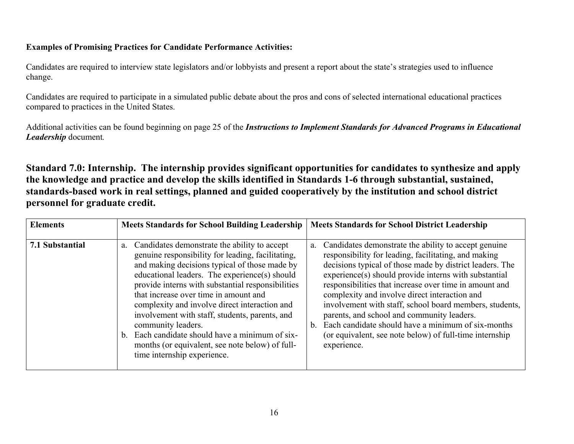## **Examples of Promising Practices for Candidate Performance Activities:**

Candidates are required to interview state legislators and/or lobbyists and present a report about the state's strategies used to influence change.

Candidates are required to participate in a simulated public debate about the pros and cons of selected international educational practices compared to practices in the United States.

Additional activities can be found beginning on page 25 of the *Instructions to Implement Standards for Advanced Programs in Educational Leadership* document*.* 

**Standard 7.0: Internship. The internship provides significant opportunities for candidates to synthesize and apply the knowledge and practice and develop the skills identified in Standards 1-6 through substantial, sustained, standards-based work in real settings, planned and guided cooperatively by the institution and school district personnel for graduate credit.** 

| <b>Elements</b> | <b>Meets Standards for School Building Leadership</b>                                                                                                                                                                                                                                                                                                                                                                                                                                                                                                                 | <b>Meets Standards for School District Leadership</b>                                                                                                                                                                                                                                                                                                                                                                                                                                                                                                                                                         |
|-----------------|-----------------------------------------------------------------------------------------------------------------------------------------------------------------------------------------------------------------------------------------------------------------------------------------------------------------------------------------------------------------------------------------------------------------------------------------------------------------------------------------------------------------------------------------------------------------------|---------------------------------------------------------------------------------------------------------------------------------------------------------------------------------------------------------------------------------------------------------------------------------------------------------------------------------------------------------------------------------------------------------------------------------------------------------------------------------------------------------------------------------------------------------------------------------------------------------------|
| 7.1 Substantial | Candidates demonstrate the ability to accept<br>a.<br>genuine responsibility for leading, facilitating,<br>and making decisions typical of those made by<br>educational leaders. The experience(s) should<br>provide interns with substantial responsibilities<br>that increase over time in amount and<br>complexity and involve direct interaction and<br>involvement with staff, students, parents, and<br>community leaders.<br>b. Each candidate should have a minimum of six-<br>months (or equivalent, see note below) of full-<br>time internship experience. | Candidates demonstrate the ability to accept genuine<br>a.<br>responsibility for leading, facilitating, and making<br>decisions typical of those made by district leaders. The<br>experience(s) should provide interns with substantial<br>responsibilities that increase over time in amount and<br>complexity and involve direct interaction and<br>involvement with staff, school board members, students,<br>parents, and school and community leaders.<br>Each candidate should have a minimum of six-months<br>$\mathbf{b}$ .<br>(or equivalent, see note below) of full-time internship<br>experience. |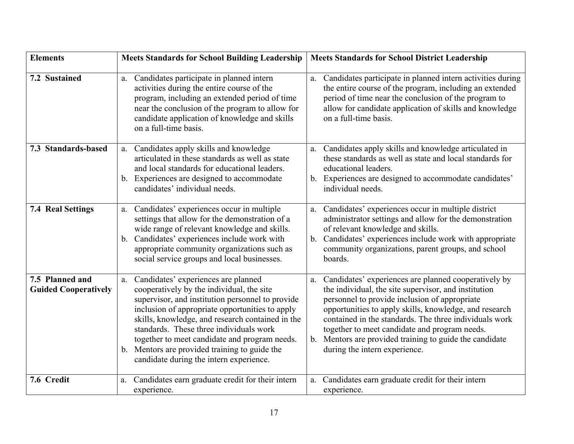| <b>Elements</b>                                | <b>Meets Standards for School Building Leadership</b>                                                                                                                                                                                                                                                                                                                                                                                  | <b>Meets Standards for School District Leadership</b>                                                                                                                                                                                                                                                                                                                                                                                   |
|------------------------------------------------|----------------------------------------------------------------------------------------------------------------------------------------------------------------------------------------------------------------------------------------------------------------------------------------------------------------------------------------------------------------------------------------------------------------------------------------|-----------------------------------------------------------------------------------------------------------------------------------------------------------------------------------------------------------------------------------------------------------------------------------------------------------------------------------------------------------------------------------------------------------------------------------------|
| 7.2 Sustained                                  | Candidates participate in planned intern<br>a.<br>activities during the entire course of the<br>program, including an extended period of time<br>near the conclusion of the program to allow for<br>candidate application of knowledge and skills<br>on a full-time basis.                                                                                                                                                             | Candidates participate in planned intern activities during<br>a.<br>the entire course of the program, including an extended<br>period of time near the conclusion of the program to<br>allow for candidate application of skills and knowledge<br>on a full-time basis.                                                                                                                                                                 |
| 7.3 Standards-based                            | a. Candidates apply skills and knowledge<br>articulated in these standards as well as state<br>and local standards for educational leaders.<br>b. Experiences are designed to accommodate<br>candidates' individual needs.                                                                                                                                                                                                             | Candidates apply skills and knowledge articulated in<br>a.<br>these standards as well as state and local standards for<br>educational leaders.<br>b. Experiences are designed to accommodate candidates'<br>individual needs.                                                                                                                                                                                                           |
| <b>7.4 Real Settings</b>                       | a. Candidates' experiences occur in multiple<br>settings that allow for the demonstration of a<br>wide range of relevant knowledge and skills.<br>Candidates' experiences include work with<br>$b_{-}$<br>appropriate community organizations such as<br>social service groups and local businesses.                                                                                                                                   | Candidates' experiences occur in multiple district<br>a.<br>administrator settings and allow for the demonstration<br>of relevant knowledge and skills.<br>Candidates' experiences include work with appropriate<br>$b_{-}$<br>community organizations, parent groups, and school<br>boards.                                                                                                                                            |
| 7.5 Planned and<br><b>Guided Cooperatively</b> | a. Candidates' experiences are planned<br>cooperatively by the individual, the site<br>supervisor, and institution personnel to provide<br>inclusion of appropriate opportunities to apply<br>skills, knowledge, and research contained in the<br>standards. These three individuals work<br>together to meet candidate and program needs.<br>b. Mentors are provided training to guide the<br>candidate during the intern experience. | Candidates' experiences are planned cooperatively by<br>a.<br>the individual, the site supervisor, and institution<br>personnel to provide inclusion of appropriate<br>opportunities to apply skills, knowledge, and research<br>contained in the standards. The three individuals work<br>together to meet candidate and program needs.<br>Mentors are provided training to guide the candidate<br>b.<br>during the intern experience. |
| 7.6 Credit                                     | Candidates earn graduate credit for their intern<br>a.<br>experience.                                                                                                                                                                                                                                                                                                                                                                  | Candidates earn graduate credit for their intern<br>a.<br>experience.                                                                                                                                                                                                                                                                                                                                                                   |